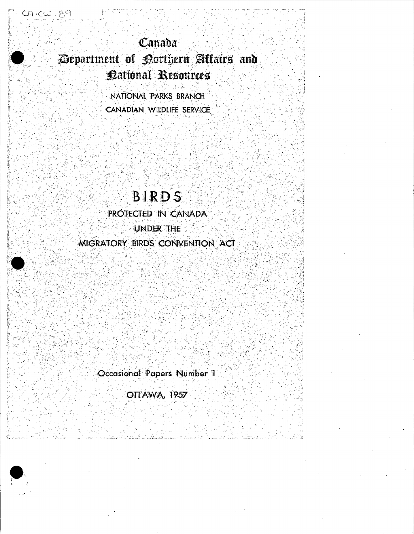# Canada

Department of Porthern Attairs and **Pational Resources** 

> NATIONAL PARKS BRANCH CANADIAN WILDLIFE SERVICE

# BIRDS PROTECTED IN CANADA UNDER THE MIGRATORY BIRDS CONVENTION ACT

Occasional Papers Number 1

**OTTAWA, 1957** 

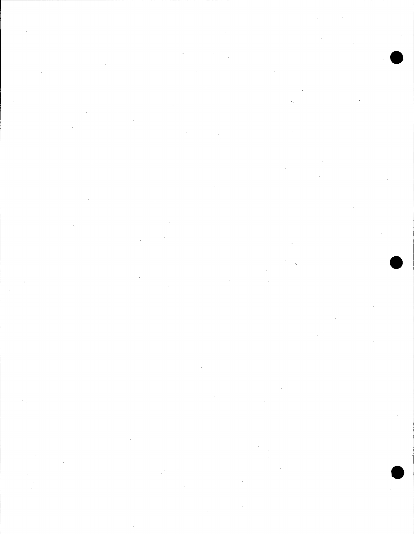$\label{eq:2.1} \frac{1}{\sqrt{2}}\left(\frac{1}{\sqrt{2}}\right)^{2} \left(\frac{1}{\sqrt{2}}\right)^{2} \left(\frac{1}{\sqrt{2}}\right)^{2} \left(\frac{1}{\sqrt{2}}\right)^{2} \left(\frac{1}{\sqrt{2}}\right)^{2} \left(\frac{1}{\sqrt{2}}\right)^{2} \left(\frac{1}{\sqrt{2}}\right)^{2} \left(\frac{1}{\sqrt{2}}\right)^{2} \left(\frac{1}{\sqrt{2}}\right)^{2} \left(\frac{1}{\sqrt{2}}\right)^{2} \left(\frac{1}{\sqrt{2}}\right)^{2} \left(\$  $\label{eq:2.1} \mathcal{L}(\mathcal{L}) = \mathcal{L}(\mathcal{L}) \mathcal{L}(\mathcal{L}) = \mathcal{L}(\mathcal{L}) \mathcal{L}(\mathcal{L})$  $\label{eq:2.1} \mathcal{L}(\mathcal{L}^{\mathcal{L}}_{\mathcal{L}}(\mathcal{L}^{\mathcal{L}}_{\mathcal{L}}))\leq \mathcal{L}(\mathcal{L}^{\mathcal{L}}_{\mathcal{L}}(\mathcal{L}^{\mathcal{L}}_{\mathcal{L}}))\leq \mathcal{L}(\mathcal{L}^{\mathcal{L}}_{\mathcal{L}}(\mathcal{L}^{\mathcal{L}}_{\mathcal{L}}))$  $\label{eq:2.1} \frac{1}{\sqrt{2}}\int_{\mathbb{R}^3}\frac{1}{\sqrt{2}}\left(\frac{1}{\sqrt{2}}\right)^2\frac{1}{\sqrt{2}}\left(\frac{1}{\sqrt{2}}\right)^2\frac{1}{\sqrt{2}}\left(\frac{1}{\sqrt{2}}\right)^2\frac{1}{\sqrt{2}}\left(\frac{1}{\sqrt{2}}\right)^2.$  $\label{eq:2.1} \frac{1}{2}\sum_{i=1}^n\frac{1}{2}\sum_{j=1}^n\frac{1}{2}\sum_{j=1}^n\frac{1}{2}\sum_{j=1}^n\frac{1}{2}\sum_{j=1}^n\frac{1}{2}\sum_{j=1}^n\frac{1}{2}\sum_{j=1}^n\frac{1}{2}\sum_{j=1}^n\frac{1}{2}\sum_{j=1}^n\frac{1}{2}\sum_{j=1}^n\frac{1}{2}\sum_{j=1}^n\frac{1}{2}\sum_{j=1}^n\frac{1}{2}\sum_{j=1}^n\frac{1}{2}\sum_{j=1}^n\$ 

 $\frac{1}{2} \sum_{i=1}^{n} \frac{1}{2} \sum_{j=1}^{n} \frac{1}{2} \sum_{j=1}^{n} \frac{1}{2} \sum_{j=1}^{n} \frac{1}{2} \sum_{j=1}^{n} \frac{1}{2} \sum_{j=1}^{n} \frac{1}{2} \sum_{j=1}^{n} \frac{1}{2} \sum_{j=1}^{n} \frac{1}{2} \sum_{j=1}^{n} \frac{1}{2} \sum_{j=1}^{n} \frac{1}{2} \sum_{j=1}^{n} \frac{1}{2} \sum_{j=1}^{n} \frac{1}{2} \sum_{j=1}^{n$  $\label{eq:2} \frac{1}{\sqrt{2}}\sum_{i=1}^n\frac{1}{\sqrt{2}}\sum_{i=1}^n\frac{1}{\sqrt{2}}\sum_{i=1}^n\frac{1}{\sqrt{2}}\sum_{i=1}^n\frac{1}{\sqrt{2}}\sum_{i=1}^n\frac{1}{\sqrt{2}}\sum_{i=1}^n\frac{1}{\sqrt{2}}\sum_{i=1}^n\frac{1}{\sqrt{2}}\sum_{i=1}^n\frac{1}{\sqrt{2}}\sum_{i=1}^n\frac{1}{\sqrt{2}}\sum_{i=1}^n\frac{1}{\sqrt{2}}\sum_{i=1}^n\frac{1$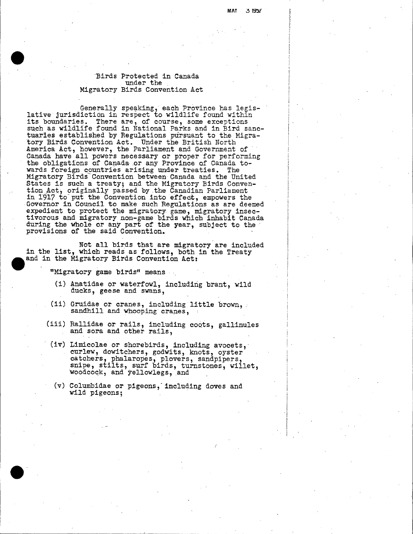Birds Protected in Canada •under the Migratory Birds Convention Act

Generally speaking, each Province has legis lative jurisdiction in respect to wildlife found within its boundaries. There are, of course, some exceptions such as wildlife found in National Parks and in Bird sanc tuaries established by Regulations pursuant to the Migratory Birds Convention Act. Under the British North America Act, however, the Parliament and Government of Canada have all powers necessary or proper for performing the obligations of Canada- or any Province of Canada to wards foreign countries arising under treaties. The Migratory Birds"Convention between Canada and the United States is such <sup>a</sup> treaty; and the Migratory Birds Conven tion. Act, originally passed by.the Canadian Parliament in 1917 to"put the Convention into effect, empowers the Governor in Council to make such Regulations as are deemed expedient to protect the migratory game, migratory insectivorous and migratory non-game birds which inhabit Canada during the whole or any part of the year, subject to the provisions of the said Convention.

Not all birds that are migratory are included in the list, which reads as follows, both in the Treaty and in the Migratory Birds Convention Act:

"Migratory game birds" means

- (i) Anatidae or waterfowl, including brant, wild ducks, geese and swans,
- (ii) Gruidae or cranes, inclnding little brown, . sandhill and whooping cranes,
- (iii) Rallidae or rails, including coots, gallinules and sora and other rails,
- (iv) Limicolae or shorebirds. Including avocets, curlew, dowitchers, godwits, knots, oyster catchers, phalaropes, plovers, sandpipers, snipe, stilts, surf birds, turnstones, willet, woodcock, and yellowlegs, and
- (v) Columbidae or pigeons," including doves and •wild pigeons;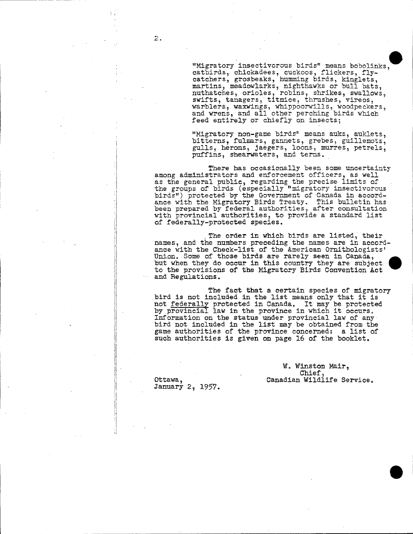"Migratory insectivorous birds" means bobolinks. catbirds, chickadees, cuckoos, flickers, flycatchers, grosbeaks, humming birds, kinglets, martins, meadowlarks, nighthawks or bull bats, nuthatches, orioles, robins, shrikes, swallows, swifts, tanagers, titmice, thrushes, vireos, warblers, waxwings, whippoorwills, woodpeckers, and wrens, and all other perching birds which feed entirely or chiefly on insects;

"Migratory non-game birds" means auks, auklets, bitterns, fulmars, gannets, grebes, guillemots, gulls, herons, jaegers, loons, murres, petrels, puffins, shearwaters, and terns.

There has occasionally been some uncertainty among administrators and enforcement officers, as well as the general public, regarding the precise limits of the groups of birds (especially "migratory insectivorous birds") protected by the Government of Canada in accord ance with the Migratory Birds Treaty. This bulletin has been prepared by federal authorities, after consultation with provincial authorities, to provide <sup>a</sup> standard list of federally-protected species.

The order in which birds are listed, their names, and the numbers preceding the names are in accord-<br>ance with the Check-list of the American Ornithologists' Union. Some of those birds are rarely seen in Canada, but when they do occur in this country they are subject to the provisions of the Migratory Birds Convention Act and Regulations.

The fact that a certain species of migratory<br>bird is not included in the list means only that it is not federally protected in Canada. It may be protected by provincial law in the province in which it occurs.<br>Information on the status under provincial law of any bird not included in the list may be obtained from the game authorities of the province concerned: a list of such authorities is given on page 16 of the booklet.

W. Winston Mair, Chief. Ottawa, Canadian Wildlife Service.

January 2, 1957.

2.

{I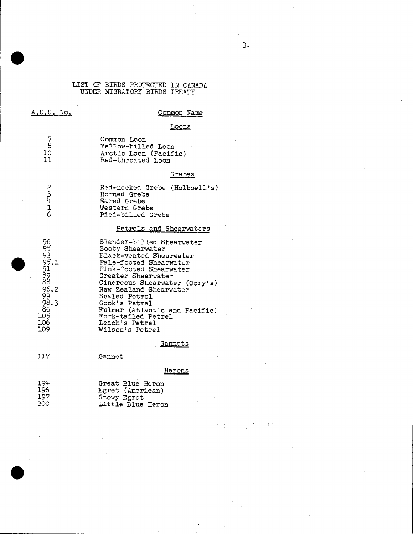#### LIST CF BIRDS PROTECTED IK CANADA UNDER MIGRATORY BIRDS TREATY

| A. O. U. No.                                                               | Common Name                                                                                                                                                                                                                                                                                                                                 |
|----------------------------------------------------------------------------|---------------------------------------------------------------------------------------------------------------------------------------------------------------------------------------------------------------------------------------------------------------------------------------------------------------------------------------------|
|                                                                            | <u>Loons</u>                                                                                                                                                                                                                                                                                                                                |
| $\frac{7}{8}$<br>10<br>11                                                  | Common Loon<br>Yellow-billed Loon<br>Arctic Loon (Pacific)<br>Red-throated Loon                                                                                                                                                                                                                                                             |
|                                                                            | Grebes                                                                                                                                                                                                                                                                                                                                      |
| ひとてん                                                                       | Red-necked Grebe (Holboell's)<br>Horned Grebe<br>Eared Grebe<br>Western Grebe<br>Pied-billed Grebe                                                                                                                                                                                                                                          |
|                                                                            | Petrels and Shearwaters                                                                                                                                                                                                                                                                                                                     |
| 99995.1<br>9995.1<br>8888<br>96.2<br>99<br>98.3<br>86<br>105<br>106<br>109 | Slender-billed Shearwater<br>Sooty Shearwater<br>Black-vented Shearwater<br>Pale-footed Shearwater<br>Pink-footed Shearwater<br>Greater Shearwater<br>Cinereous Shearwater (Cory's)<br>New Zealand Shearwater<br>Scaled Petrel<br>Gook's Petrel<br>Fulmar (Atlantic and Pacific)<br>Fork-tailed Petrel<br>Leach's Petrel<br>Wilson's Petrel |
|                                                                            | Gannets                                                                                                                                                                                                                                                                                                                                     |

 $\ddot{\phantom{0}}$ 

117 Gannet

Herons

| 194  | Great Blue Heron  |
|------|-------------------|
| 196  | Egret (American)  |
| 197  | Snowy Egret       |
| -200 | Little Blue Heron |

 $\pi^{\rm (2)}_{\rm 2} = 387$ 

 $\mathcal{P}(\mathcal{M})$  ?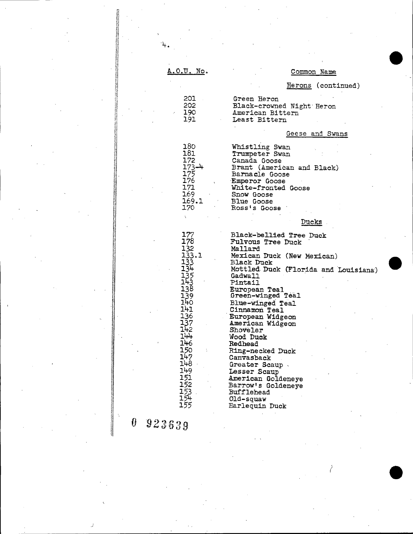| A.O.U. No.          | Common Name                                   |
|---------------------|-----------------------------------------------|
|                     | Herons (continued)                            |
|                     |                                               |
| 201                 | Green Heron                                   |
| 202<br>190          | Black-crowned Night Heron<br>American Bittern |
| 191                 | Least Bittern                                 |
|                     |                                               |
|                     | Geese and Swans                               |
| 180                 | Whistling Swan                                |
| 181                 | Trumpeter Swan                                |
| 172<br>$173 - 4$    | Canada Goose<br>Brant (American and Black)    |
| 175                 | Barnacle Goose                                |
| 176                 | Emperor Goose                                 |
| 171                 | White-fronted Goose                           |
| 169<br>169.1        | Snow Goose<br>Blue Goose                      |
| 170                 | Ross's Goose                                  |
|                     |                                               |
|                     | Ducks                                         |
| 177                 | Black-bellied Tree Duck                       |
| 178                 | <b>Fulvous Tree Duck</b><br>Mallard           |
| 132<br>133.1        | Mexican Duck (New Mexican)                    |
| 133                 | <b>Black Duck</b>                             |
| 42 1                | Mottled Duck (Florida and Louisiana)          |
|                     | Gadwall<br>Pintail                            |
|                     | European Teal                                 |
| 139                 | Green-winged Teal                             |
| 140<br>141          | Blue-winged Teal                              |
|                     | Cinnamon Teal<br>European Widgeon             |
|                     | American Widgeon                              |
|                     | Shoveler                                      |
|                     | Wood Duck                                     |
| 1367244607          | Redhead<br>Ring-necked Duck                   |
|                     | Canvasback                                    |
| 148                 | Greater Scaup.                                |
| 1155345             | Lesser Scaup                                  |
|                     | American Goldeneye<br>Barrow's Goldeneye      |
|                     | Bufflehead                                    |
|                     | Old-squaw                                     |
|                     | Harlequin Duck                                |
|                     |                                               |
| $\pmb{0}$<br>923639 |                                               |
|                     |                                               |
|                     |                                               |
|                     |                                               |
|                     |                                               |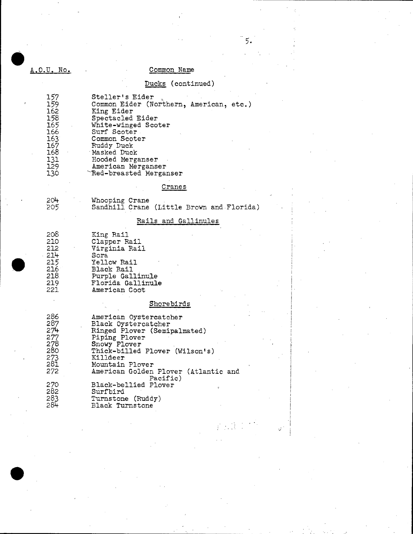| <u>A.O.U. No.</u>                                                                             | Common Name                                                                                                                                                                                                                                                 |  |
|-----------------------------------------------------------------------------------------------|-------------------------------------------------------------------------------------------------------------------------------------------------------------------------------------------------------------------------------------------------------------|--|
|                                                                                               | Ducks (continued)                                                                                                                                                                                                                                           |  |
| 157<br>159<br>162<br>158<br>165<br>166<br>163<br>$16\overline{7}$<br>168<br>131<br>129<br>130 | Steller's Eider<br>Common Eider (Northern, American, etc.)<br>King Eider<br>Spectacled Eider<br>White-winged Scoter<br>Surf Scoter<br>Common Scoter<br>Ruddy Duck<br>Masked Duck<br>Hooded Merganser<br>American Merganser<br>Red-breasted Merganser        |  |
|                                                                                               | Cranes                                                                                                                                                                                                                                                      |  |
| 204<br>205                                                                                    | Whooping Crane<br>Sandhill Crane (Little Brown and Florida)                                                                                                                                                                                                 |  |
|                                                                                               | Rails and Gallinules                                                                                                                                                                                                                                        |  |
| 208<br>210<br>212<br>214<br>215<br>216<br>218.<br>219<br>221                                  | King Rail<br>Clapper Rail<br>Virginia Rail<br>Sora<br>Yellow Rail<br>Black Rail<br>Purple Gallinule<br>Florida Gallinule<br>American Coot                                                                                                                   |  |
|                                                                                               | Shorebirds                                                                                                                                                                                                                                                  |  |
| 286<br>287<br>274<br>277<br>278<br>280<br>273<br>$28\bar{1}$<br>272<br>270                    | American Oystercatcher<br>Black Oystercatcher<br>Ringed Plover (Semipalmated)<br>Piping Plover<br>Snowy Plover<br>Thick-billed Plover (Wilson's)<br>Killdeer<br>Mountain Plover<br>American Golden Plover (Atlantic and<br>Pacific)<br>Black-bellied Plover |  |
| 282<br>283<br>284                                                                             | Surfbird<br>Turnstone (Ruddy)<br><b>Black Turnstone</b>                                                                                                                                                                                                     |  |
|                                                                                               |                                                                                                                                                                                                                                                             |  |
|                                                                                               |                                                                                                                                                                                                                                                             |  |

 $\label{eq:2} \frac{1}{2} \int_{\mathbb{R}^3} \left| \frac{d\mu}{d\mu} \right|^2 \, d\mu = \frac{1}{2} \int_{\mathbb{R}^3} \left| \frac{d\mu}{d\mu} \right|^2 \, d\mu = \frac{1}{2} \int_{\mathbb{R}^3} \left| \frac{d\mu}{d\mu} \right|^2 \, d\mu.$ 

 $\label{eq:2.1} \frac{1}{\sqrt{2\pi}}\sum_{i=1}^n\frac{1}{\sqrt{2\pi}}\sum_{i=1}^n\frac{1}{\sqrt{2\pi}}\sum_{i=1}^n\frac{1}{\sqrt{2\pi}}\sum_{i=1}^n\frac{1}{\sqrt{2\pi}}\sum_{i=1}^n\frac{1}{\sqrt{2\pi}}\sum_{i=1}^n\frac{1}{\sqrt{2\pi}}\sum_{i=1}^n\frac{1}{\sqrt{2\pi}}\sum_{i=1}^n\frac{1}{\sqrt{2\pi}}\sum_{i=1}^n\frac{1}{\sqrt{2\pi}}\sum_{i=1}^n\$ 

5.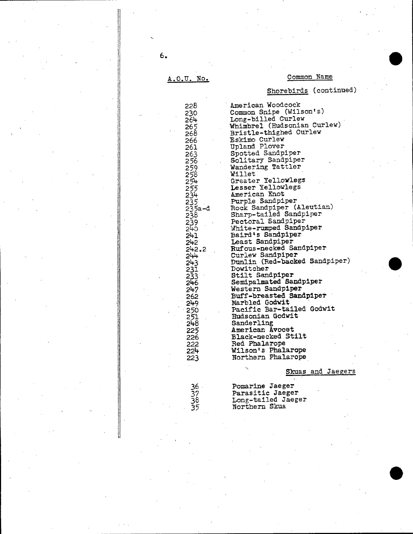| <b>A.O.U</b> | $\bullet$ | No. |
|--------------|-----------|-----|
|              |           |     |

### Common Name

### Shorebirds (continued)

228 **American Woodcock**<br>230 **Common Snipe (Wil**e 230 Common Snipe (Wilson's) 264 Long-billed Curlew<br>265 Mhimbrel (Hudsonia) 265 Whimbrel (Hudsonian Curlew)<br>268 Bristle-thighed Curlew 268 Bristle-thighed Curlew<br>266 Bskimo Curlew 266 Eskimo Curlew 261 Upland Plover 263 Spotted Sandpiper<br>256 Solitary Sandpipe 256 Solitary Sandpiper<br>259 Wandering Tattler<br>258 Willet Wandering Tattler 258 Willet 255 Lesser Yellowlegs<br>
234 American Knot<br>
235 Purple Sandpiper<br>
235a-d Rock Sandpiper (A<br>
238 Sharp-tailed Sand Rock Sandpiper (Aleutian) 238 Sharp-tailed Sandpiper<br>239 Pectoral Sandpiper 239 Rectoral Sandpiper<br>240 Mhite-rumped Sandp 240 Mhite-rumped Sandpiper<br>241 Baird's Sandpiper 241 Baird's Sandpiper<br>242 Least Sandpiper<br>242.2 Rufous-necked San 242.2 Rufous-necked Sandpiper<br>244 Curlew Sandpiper 244 Curlew Sandpiper<br>243 Dunlin (Red-back <sup>243</sup> Dunlin (Red-backed Sandpiper) <sup>231</sup> Dowitoher 233 Stilt Sandpiper<br>246 Semipalmated Sar 246 Semipalmated Sandpiper<br>247 Western Sandpiper 247 Western Sandpiper<br>262 Buff-breasted San 262 Buff-breasted Sandpiper<br>249 Marbled Godwit 249 Marbled Godwit 250 Pacific Bar-tailed Godwit 250 . Pacific Bar-tail<br>251 . Hudsonian Godwit<br>248 . Sanderling 248 Sanderling<br>225 American A 225 **American Avocet**<br>226 **Black-necked St** 226 Black-necked Stilt<br>222 Red Phalarope 222 Red Phalarope<br>224 Wilson's Phala 224 Wilson's Phalarope<br>223 Morthern Phalarope Northern Phalarope

#### Skuas and Jaegers

36 Pomarine Jaeger<br>37 Parasitic Jaege:<br>38 Long-tailed Jae<br>35 Northern Skua Parasitic Jaeger 38 Long-tailed Jaeger 35 northern Skua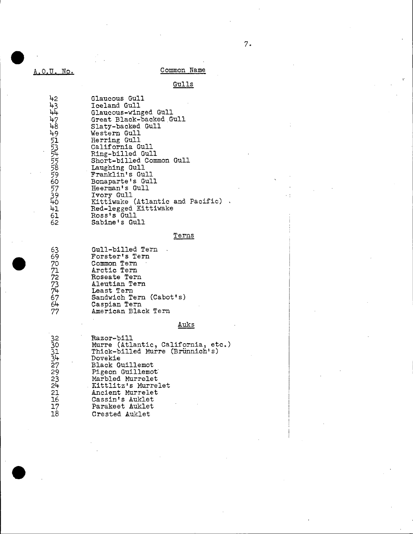## Common Name

# Gulls

| 42<br>43<br>44 | Glaucous Gull<br>Iceland Gull<br>Glaucous-winged Gull |
|----------------|-------------------------------------------------------|
| 47             | Great Black-backed Gull                               |
| 48             | Slaty-backed Gull<br>Western Gull                     |
| 49             | Herring Gull                                          |
| 红 ひみちちゅう       | California Gull                                       |
|                | Ring-billed Gull                                      |
|                | Short-billed Common Gull                              |
|                | Laughing Gull                                         |
|                | Franklin's Gull                                       |
|                | Bonaparte's Gull                                      |
|                | Heerman's Gull                                        |
| 65390          | Ivory Gull<br>Kittiwake (Atlantic and Pacific)        |
| 41             | Red-legged Kittiwake                                  |
| 61             | Ross's Gull                                           |
| 62             | Sabine's Gull                                         |

## Terns

| 63<br>69 | Gull-billed Tern.<br>Forster's Tern |
|----------|-------------------------------------|
| 70       | Common Tern                         |
| 71       | Arctic Tern                         |
| 72       | Roseate Tern                        |
| 73<br>74 | Aleutian Tern                       |
|          | Least Tern                          |
| 67       | Sandwich Tern (Cabot's)             |
| 64       | Caspian Tern                        |
| 77       | American Black Tern                 |

## Auks

| 32<br>30<br>$\frac{31}{3}$ | Razor-bill<br>Murre (Atlantic, California, etc.)<br>Thick-billed Murre (Brünnich's)<br>Dovekie |
|----------------------------|------------------------------------------------------------------------------------------------|
|                            | 27 Black Guillemot                                                                             |
| 29                         | Pigeon Guillemot                                                                               |
| 23                         | Marbled Murrelet                                                                               |
| $2\overline{4}$            | Kittlitz's Murrelet                                                                            |
| 21                         | Ancient Murrelet                                                                               |
| 16                         | Cassin's Auklet                                                                                |
| 17                         | Parakeet Auklet                                                                                |
| 18                         | Crested Auklet                                                                                 |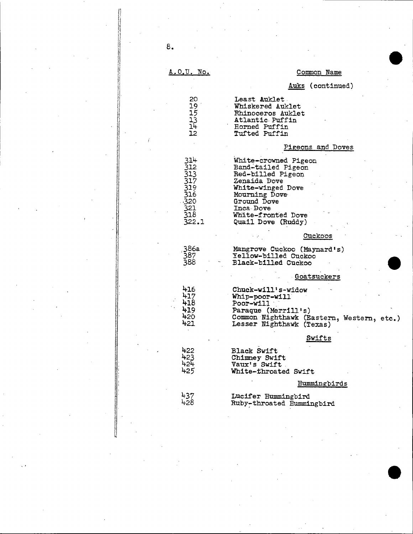| 8.                                                                |                                                                                                                                                                                               |
|-------------------------------------------------------------------|-----------------------------------------------------------------------------------------------------------------------------------------------------------------------------------------------|
| A.O.U. No.                                                        | Common Name                                                                                                                                                                                   |
|                                                                   | Auks (continued)                                                                                                                                                                              |
| 20195342                                                          | Least Auklet<br>Whiskered Auklet<br>Rhinoceros Auklet<br>Atlantic Puffin<br>Horned Puffin<br>Tufted Puffin                                                                                    |
|                                                                   | Pigeons and Doves                                                                                                                                                                             |
| 314<br>312<br>313<br>3179<br>318<br>$-320$<br>321<br>318<br>322.1 | White-crowned Pigeon<br>Band-tailed Pigeon<br>Red-billed Pigeon<br>Zenaida Dove<br>White-winged Dove<br>Mourning Dove<br>Ground Dove<br>Inca Dove<br>White-fronted Dove<br>Quail Dove (Ruddy) |
|                                                                   | Cuckoos                                                                                                                                                                                       |
| 386a<br>387<br>388                                                | Mangrove Cuckoo (Maynard's)<br>Yellow-billed Cuckoo<br>Black-billed Cuckoo                                                                                                                    |
|                                                                   | Goatsuckers                                                                                                                                                                                   |
| 416<br>417<br>418<br>419<br>420<br>421                            | Chuck-will's-widow<br>Whip-poor-will<br>Poor-will<br>Paraque (Merrill's)<br>Common Nighthawk (Eastern, Western, etc.)<br>Lesser Nighthawk (Texas)                                             |
|                                                                   | Swifts                                                                                                                                                                                        |
| 422<br>$423$<br>$424$<br>425                                      | <b>Black Swift</b><br>Chimney Swift<br>Vaux's Swift.<br>White-throated Swift                                                                                                                  |
|                                                                   | <b>Hummingbirds</b>                                                                                                                                                                           |
| $437$<br>$428$                                                    | Lucifer Hummingbird<br>Ruby-throated Hummingbird                                                                                                                                              |
|                                                                   |                                                                                                                                                                                               |
|                                                                   |                                                                                                                                                                                               |
|                                                                   |                                                                                                                                                                                               |
|                                                                   |                                                                                                                                                                                               |

 $\label{eq:2.1} \frac{1}{2} \sum_{i=1}^n \frac{1}{2} \sum_{j=1}^n \frac{1}{2} \sum_{j=1}^n \frac{1}{2} \sum_{j=1}^n \frac{1}{2} \sum_{j=1}^n \frac{1}{2} \sum_{j=1}^n \frac{1}{2} \sum_{j=1}^n \frac{1}{2} \sum_{j=1}^n \frac{1}{2} \sum_{j=1}^n \frac{1}{2} \sum_{j=1}^n \frac{1}{2} \sum_{j=1}^n \frac{1}{2} \sum_{j=1}^n \frac{1}{2} \sum_{j=1}^n \frac{$ 

 $\label{eq:2} \begin{split} \frac{d\mathbf{r}}{d\mathbf{r}}&= \frac{1}{2}\left(\frac{\mathbf{r}}{d\mathbf{r}}\right)^{2} \left(\frac{\mathbf{r}}{d\mathbf{r}}\right)^{2} \left(\frac{\mathbf{r}}{d\mathbf{r}}\right)^{2} \left(\frac{\mathbf{r}}{d\mathbf{r}}\right)^{2} \left(\frac{\mathbf{r}}{d\mathbf{r}}\right)^{2} \left(\frac{\mathbf{r}}{d\mathbf{r}}\right)^{2} \left(\frac{\mathbf{r}}{d\mathbf{r}}\right)^{2} \left(\frac{\mathbf{r}}{d\math$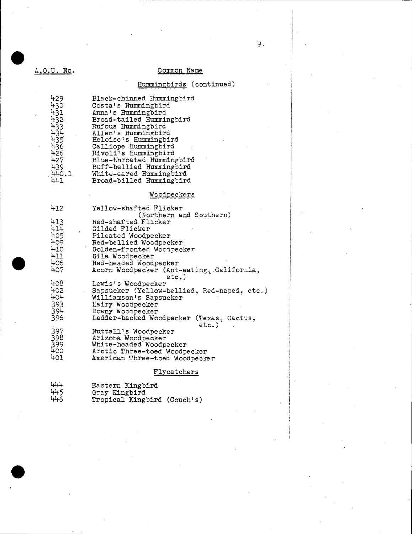## A.O.U. Ho. Common Name

## Hummingbirds (continued)

| 429<br>430<br>431<br>432<br>433<br>434<br>435<br>436<br>426<br>427<br>439 | Black-chinned Hummingbird<br>Costa's Hummingbird<br>Anna's Hummingbird<br>Broad-tailed Hummingbird<br>Rufous Hummingbird<br>Allen's Hummingbird<br>Heloise's Hummingbird<br>Calliope Hummingbird<br>Rivoli's Hummingbird<br>Blue-throated Hummingbird<br>Buff-bellied Hummingbird |
|---------------------------------------------------------------------------|-----------------------------------------------------------------------------------------------------------------------------------------------------------------------------------------------------------------------------------------------------------------------------------|
| 440.1                                                                     | White-eared Hummingbird                                                                                                                                                                                                                                                           |
| 441                                                                       | Broad-billed Hummingbird                                                                                                                                                                                                                                                          |

## Woodpeckers

| 412    | Yellow-shafted Flicker<br>(Northern and Southern) |
|--------|---------------------------------------------------|
| 413    | Red-shafted Flicker                               |
| 414    | Gilded Flicker                                    |
| 405    | Pileated Woodpecker                               |
| 409    | Red-bellied Woodpecker                            |
| 410    | Golden-fronted Woodpecker                         |
| 411    | Gila Woodpecker                                   |
| 406    | Red-headed Woodpecker                             |
| 407    | Acorn Woodpecker (Ant-eating, California,         |
|        | $etc.$ )                                          |
| 408    |                                                   |
| 402    | Lewis's Woodpecker                                |
| $40 +$ | Sapsucker (Yellow-bellied, Red-naped, etc.)       |
|        | Williamson's Sapsucker                            |
| 393    | Hairy Woodpecker                                  |
| $39 +$ | Downy Woodpecker                                  |
| 396    | Ladder-backed Woodpecker (Texas, Cactus,          |
|        | etc.)                                             |
| 397    | Nuttall's Woodpecker                              |
| 398    | Arizona Woodpecker                                |
| 399    | White-headed Woodpecker                           |
| 400    | Arctic Three-toed Woodpecker                      |
| 401    | American Three-toed Woodpecker                    |

## Flycatchers

| 444 | Eastern Kingbird            |  |
|-----|-----------------------------|--|
| 445 | Gray Kingbird               |  |
| 446 | Tropical Kingbird (Couch's) |  |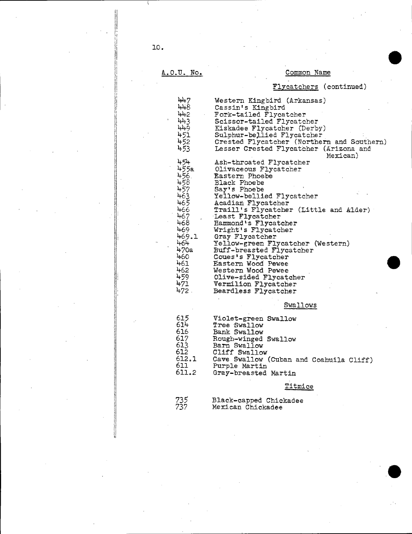10.

## A.O.U. No. Common Name

## Flycatchers (continued)

| <u> հեժ</u><br>Western Kingbird (Arkansas)<br>448<br>Cassin's Kingbird<br>442<br>Fork-tailed Flycatcher<br>443<br>Scissor-tailed Flycatcher<br>449<br>Kiskadee Flycatcher (Derby)<br>451<br>Sulphur-bellied Flycatcher<br>452<br>Crested Flycatcher (Northern and Southern)<br>453<br>Lesser Crested Flycatcher (Arizona and<br>Mexican)<br>454<br>Ash-throated Flycatcher                                                                                                                                                                                                                                                 |
|----------------------------------------------------------------------------------------------------------------------------------------------------------------------------------------------------------------------------------------------------------------------------------------------------------------------------------------------------------------------------------------------------------------------------------------------------------------------------------------------------------------------------------------------------------------------------------------------------------------------------|
| 455a<br>Olivaceous Flycatcher<br>456.<br><b>Eastern Phoebe</b><br>458<br>Black Phoebe<br>457<br>Say's Phoebe<br>463<br>Yellow-bellied Flycatcher<br>465<br>Acadian Flycatcher<br>466<br>Traill's Flycatcher (Little and Alder)<br>467<br>Least Flycatcher<br>468<br>Hammond's Flycatcher<br>469.<br>Wright's Flycatcher<br>469.1<br>Gray Flycatcher<br>464<br>Yellow-green Flycatcher (Western)<br>470a<br>Buff-breasted Flycatcher<br>460<br>Coues's Flycatcher<br>461<br>Eastern Wood Pewee<br>462<br>Western Wood Pewee<br>459<br>Olive-sided Flycatcher<br>471<br>Vermilion Flycatcher<br>472.<br>Beardless Flycatcher |
| <b>Swallows</b>                                                                                                                                                                                                                                                                                                                                                                                                                                                                                                                                                                                                            |
| 615<br>Violet-green Swallow<br>614<br>Tree Swallow<br>616<br>Bank Swallow<br>617<br>Rough-winged Swallow<br>613<br>Barn Swallow<br>612<br>Cliff Swallow<br>612.1<br>Cave Swallow (Cuban and Coahuila Cliff)<br>611<br>Purple Martin<br>611.2<br>Gray-breasted Martin                                                                                                                                                                                                                                                                                                                                                       |
| <u>Titmice</u>                                                                                                                                                                                                                                                                                                                                                                                                                                                                                                                                                                                                             |
|                                                                                                                                                                                                                                                                                                                                                                                                                                                                                                                                                                                                                            |

735 Black-capped Chickadee 737 Mexican Chickadee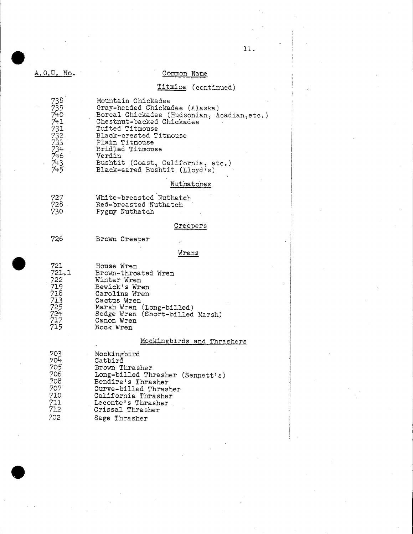$A. O. U. No.$ 

## Common Name

## Titmice (continued)

| 738 | Mountain Chickadee                          |
|-----|---------------------------------------------|
| 739 | Gray-headed Chickadee (Alaska)              |
| 740 | Boreal Chickadee (Hudsonian, Acadian, etc.) |
| 741 | Chestnut-backed Chickadee                   |
| 731 | Tufted Titmouse                             |
| 732 | Black-crested Titmouse                      |
| 733 | Plain Titmouse                              |
| 734 | Bridled Titmouse                            |
| 746 | Verdin                                      |
| 743 | Bushtit (Coast, California, etc.)           |
| 745 | Black-eared Bushtit (Lloydis)               |

### Nuthatches

| -727 | White-breasted Nuthatch |
|------|-------------------------|
| 728  | Red-breasted Nuthatch   |
| -730 | Pygmy Nuthatch          |

## Creepers

726 Brown Creeper

## Wrens

 $\overline{a}$ 

| 721                    | House Wren                      |
|------------------------|---------------------------------|
| 721.1                  | Brown-throated Wren             |
| 722                    | Winter Wren                     |
| 719                    | Bewick's Wren                   |
| 718                    | Carolina Wren                   |
| 713<br>$\sim 10^{-11}$ | Cactus Wren                     |
| $725$<br>$724$         | Marsh Wren (Long-billed)        |
|                        | Sedge Wren (Short-billed Marsh) |
| 717                    | Canon Wren                      |
| 715                    | Rock Wren                       |

### Mockingbirds and Thrashers

| 703    | Mockingbird                      |
|--------|----------------------------------|
| $70 +$ | Catbird                          |
| 705    | Brown Thrasher                   |
| 706    | Long-billed Thrasher (Sennett's) |
| 708    | Bendire's Thrasher               |
| 707    | Curve-billed Thrasher            |
| 710    | California Thrasher              |
| 711    | Leconte's Thrasher               |
| 712    | Crissal Thrasher                 |
| 702    | Sage Thrasher                    |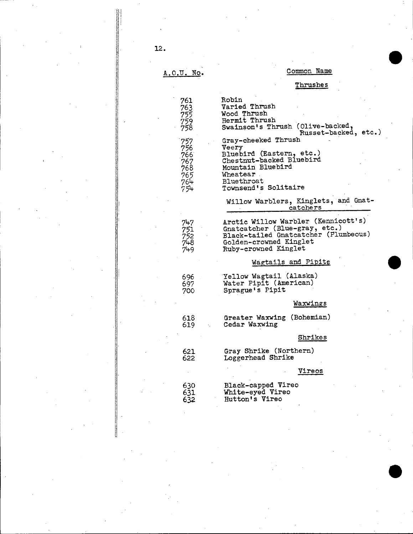| 12.        |                                                                      |
|------------|----------------------------------------------------------------------|
|            |                                                                      |
|            |                                                                      |
| A.O.U. No. | Common Name                                                          |
|            |                                                                      |
|            | Thrushes                                                             |
|            |                                                                      |
| 761        | Robin<br>Varied Thrush                                               |
| 763<br>755 | Wood Thrush                                                          |
|            | Hermit Thrush                                                        |
| 759<br>758 | Swainson's Thrush (Olive-backed,                                     |
|            | Russet-backed, etc.)                                                 |
| 757<br>756 | Gray-cheeked Thrush<br>Veery                                         |
|            | Bluebird (Eastern, etc.)                                             |
| 766<br>767 | Chestnut-backed Bluebird                                             |
| 768        | Mountain Bluebird                                                    |
| 765        | Wheatear.                                                            |
| 764        | Bluethroat<br>Townsend's Solitaire                                   |
| 754        |                                                                      |
|            | Willow Warblers, Kinglets, and Gnat-                                 |
|            | catchers                                                             |
|            |                                                                      |
| 747<br>751 | Arctic Willow Warbler (Kennicott's)<br>Gnatcatcher (Blue-gray, etc.) |
| 752        | Black-tailed Gnatcatcher (Flumbeous)                                 |
| 748        | Golden-crowned Kinglet                                               |
| 749        | Ruby-crowned Kinglet                                                 |
|            |                                                                      |
|            | Wagtails and Pipits                                                  |
| 696        | Yellow Wagtail (Alaska)                                              |
| 697        | Water Pipit (American)                                               |
| 700        | Sprague's Pipit                                                      |
|            |                                                                      |
|            | Waxwings                                                             |
| 618        | Greater Waxwing (Bohemian)                                           |
| 619        | Cedar Waxwing                                                        |
|            |                                                                      |
|            | <b>Shrikes</b>                                                       |
| 621        | Gray Shrike (Northern)                                               |
| 622        | Loggerhead Shrike                                                    |
|            |                                                                      |
|            | Vireos                                                               |
|            |                                                                      |
| 630<br>631 | Black-capped Vireo<br>White-eyed Vireo                               |
| 632        | Hutton's Vireo                                                       |
|            |                                                                      |
|            |                                                                      |
|            |                                                                      |
|            |                                                                      |
|            |                                                                      |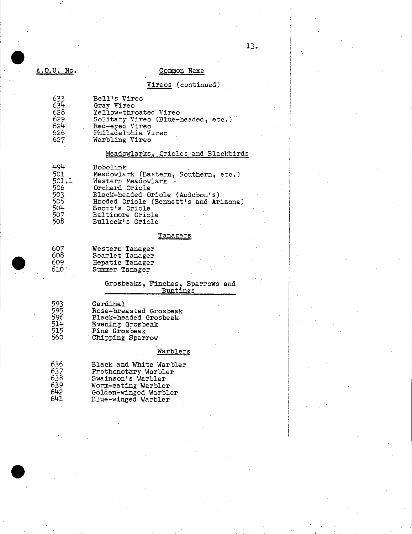| A.O.U. No.                                           | Common Name                                                                                                                                         |
|------------------------------------------------------|-----------------------------------------------------------------------------------------------------------------------------------------------------|
|                                                      | Vireos (continued)                                                                                                                                  |
| 633<br>$63 +$<br>628.<br>629<br>624.<br>626  <br>627 | Bell's Vireo<br>Gray Vireo<br>Yellow-throated Vireo<br>Solitary Vireo (Blue-headed, etc.)<br>Red-eyed Vireo<br>Philadelphia Vireo<br>Warbling Vireo |
|                                                      | Meadowlarks, Orioles and Blackbirds                                                                                                                 |
| 494<br>501 -<br>501.1<br>506 -<br>503.<br>~~~        | Bobolink<br>Meadowlark (Eastern, Southern, etc.)<br>Western Meadowlark<br>Orchard Oriole<br>Black-headed Oriole (Audubon's)                         |

| 505<br>504 | Hooded Oriole (Sennett's and Arizona) |
|------------|---------------------------------------|
|            | Scott's Oriole<br>Baltimore Oriole    |
| 507<br>508 | Bullock's Oriole                      |

#### **Tanagers**

| 607.   | Western Tanager |
|--------|-----------------|
| . 608. | Scarlet Tanager |
| 609.   | Hepatic Tanager |
| -610   | Summer Tanager  |

#### Grosbeaks, Finches, Sparrows and <u>Buntings</u>

593 Cardinal

| 595. | Rose-breasted Grosbeak |
|------|------------------------|
| 596  | Black-headed Grosbeak  |
| 514  | Evening Grosbeak       |
| 515  | Pine Grosbeak.         |
| 560  | Chipping Sparrow       |

## Warblers

| 636 | Black and White Warbler |
|-----|-------------------------|
| 637 | Prothonotary Warbler    |
| 638 | Swainson's Warbler      |
| 639 | Worm-eating Warbler     |
| 642 | Golden-winged Warbler   |
| 641 | Blue-winged Warbler     |

### continued)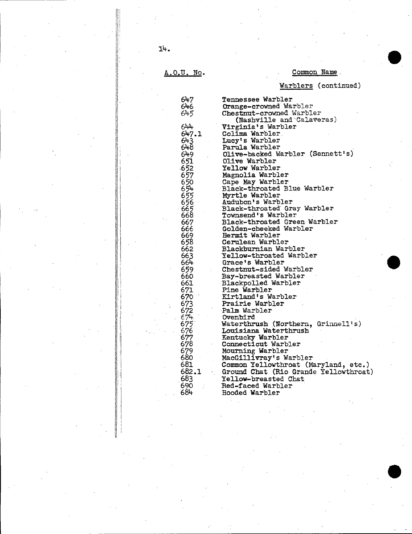|  |  | $A.O.U.$ No. |
|--|--|--------------|
|--|--|--------------|

## Common Name

## ¥arblers (continned)

| 647    | Tennessee Warbler                            |
|--------|----------------------------------------------|
| 646    | Orange-crowned Warbler                       |
| 645    | Chestnut-crowned Warbler                     |
|        | (Nashville and Calaveras)                    |
| $64+$  | Virginia's Warbler                           |
| 647.1  | Colima Warbler                               |
| 643    | Lucy's Warbler                               |
| 648    | Parula Warbler                               |
| 649    | Olive-backed Warbler (Sennett's)             |
| 651    | Olive Warbler                                |
| $-652$ | Yellow Warbler                               |
| 657    | Magnolia Warbler                             |
| 650    | Cape May Warbler                             |
| 654    | Black-throated Blue Warbler                  |
| 655    | Myrtle Warbler                               |
| 656    | Audubon's Warbler                            |
| - 665  | Black-throated Gray Warbler                  |
| 668    | Townsend's Warbler                           |
| 667    | Black-throated Green Warbler                 |
| 666    | Golden-cheeked Warbler                       |
| 669.   | Hermit Warbler                               |
| 658    | Cerulean Warbler                             |
| 662    | Blackburnian Warbler                         |
| 663    | Yellow-throated Warbler                      |
| 664    | Grace's Warbler                              |
| 659    | Chestnut-sided Warbler                       |
| 660    | Bay-breasted Warbler                         |
| 661    | Blackpolled Warbler                          |
| 671    | Pine Warbler                                 |
| 670    | Kirtland's Warbler                           |
| 673    | Prairie Warbler                              |
| 672    | Palm Warbler                                 |
| $67 +$ | Ovenbird                                     |
| 675    | Waterthrush (Northern, Grinnell's)           |
| 676    | Louisiana Waterthrush                        |
| 677    | Kentucky Warbler                             |
| 678    | Connecticut Warbler                          |
| 679    | Mourning Warbler                             |
| 680    | MacGillivray's Warbler                       |
| 681    | Common Yellowthroat (Maryland, etc.)         |
| 682.1  |                                              |
|        | Ground Chat (Rio Grande Yellowthroat)<br>ν., |
| 683    | Yellow-breasted Chat                         |
| 690    | Red-faced Warbler                            |
| 684    | Hooded Warbler                               |
|        |                                              |

1^.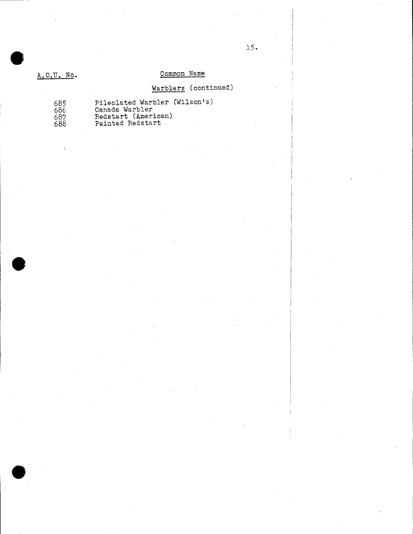# A.O.U. No. Common Name

# Warblers (continued)

| 685 | Pileolated Warbler (Wilson's) |
|-----|-------------------------------|
| 686 | Canada Warbler                |
| 687 | Redstart (American)           |
| 688 | Painted Redstart              |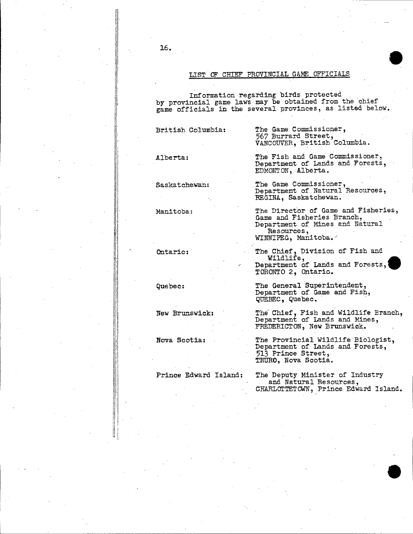### LIST OF CHIEF PROVINCIAL GAME OFFICIALS

Information regarding birds protected by provincial game laws may be obtained from the chief game officials in the several provinces, as listed below.

British Colnmbia:

Alberta;

Saskatchewan;

Manitoba;

Ontario;

Quebec;

New Brunswick;

Nova Scotia;

Prince Edward Island;

The Game Commissioner, 567 Burrard Street, VANCOUVER, British Columbia.

The Fish and Game Commissioner, Department of Lands and Forests, EDMONTON, Alberta.

The Game Commissioner, Department of Natural Resources, REGINA, Saskatchewan.

The Director of Game and Fisheries, Game and Fisheries Branch, Department of Mines and Natural Resources, WINNIPEG, Manitoba.''

The Chief, Division of Fish and Wildlife, Department of Lands and Forests,' TORONTO 2, Ontario.

The General Superintendent, Department of Game and Fish, QUEBEC, Quebec.

The' Chief, Fish and Wildlife Branch, Department of Lands and Mines, FREDERICTON, New Brunswick.

The Provincial Wildlife Biologist, Department of Lands and Forests, 513 Prince Street, TRURO, Nova Scotia.

The Deputy Minister of Industry and Natural Resources, CEARLOTTETOWN, Prince Edward Island.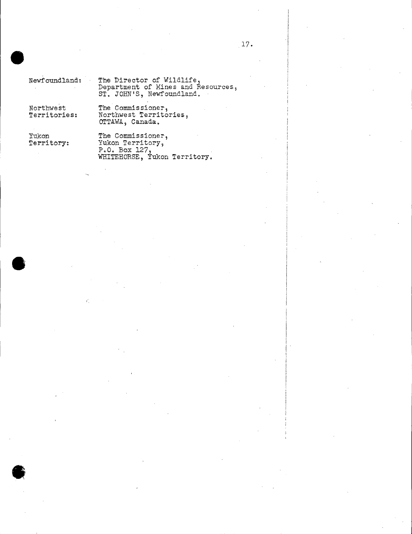Newfoundland:

n.

The Director of Wildlife, Department of Mines and Resources, ST. JOHN'S, Newfoundland.

Northwest Territories:

Northwest Territories, OTTAWA. Canada.

The Commissioner,

Yukon Territorys

The Commissioner, Yukon Territory, P.O. Bos 127, WHITEHORSE, Yukon Territory.